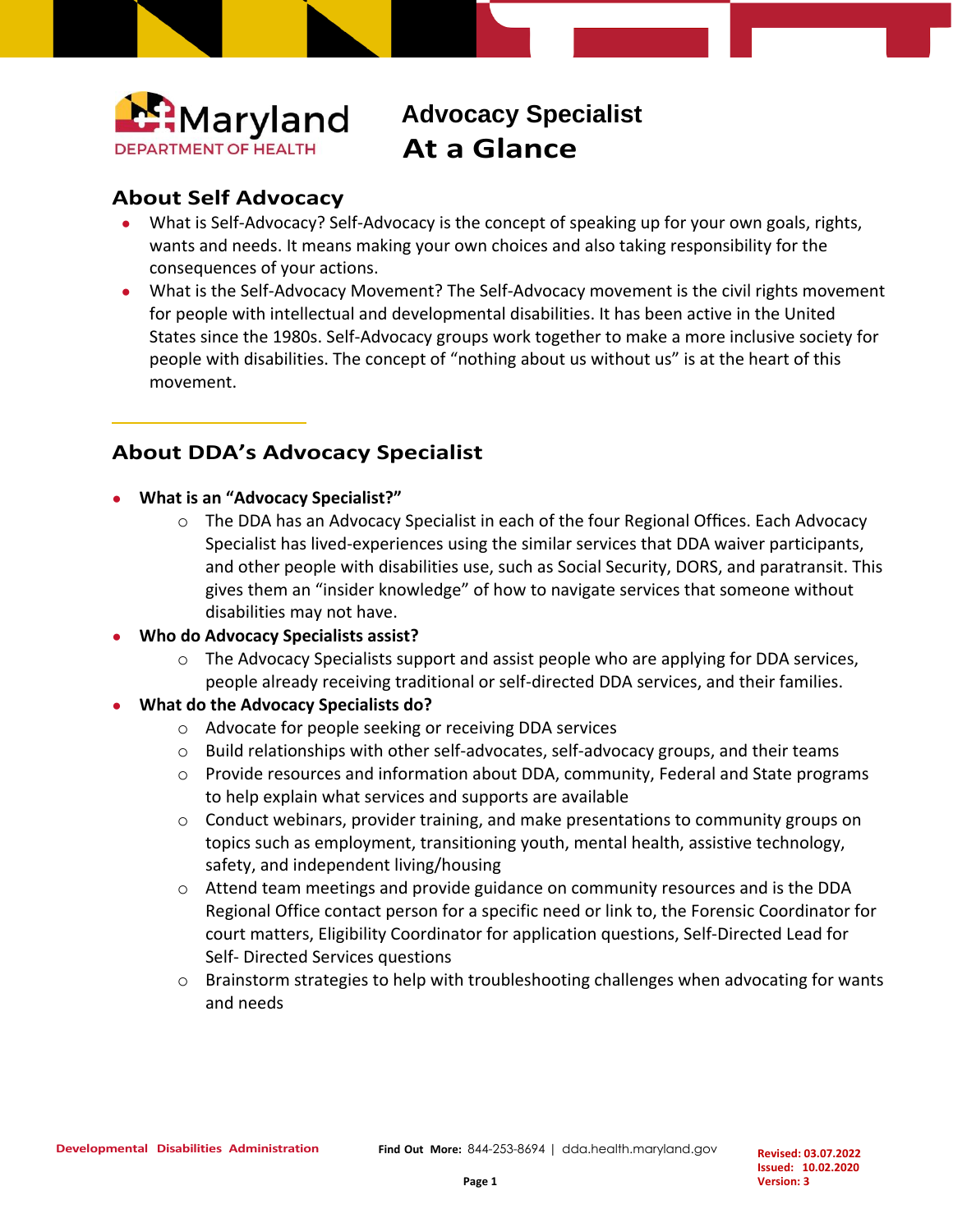

# **Advocacy Specialist**

## **About Self Advocacy**

- What is Self-Advocacy? Self-Advocacy is the concept of speaking up for your own goals, rights, wants and needs. It means making your own choices and also taking responsibility for the consequences of your actions.
- What is the Self-Advocacy Movement? The Self-Advocacy movement is the civil rights movement for people with intellectual and developmental disabilities. It has been active in the United States since the 1980s. Self-Advocacy groups work together to make a more inclusive society for people with disabilities. The concept of "nothing about us without us" is at the heart of this movement.

### **About DDA's Advocacy Specialist**

- **What is an "Advocacy Specialist?"**
	- o The DDA has an Advocacy Specialist in each of the four Regional Offices. Each Advocacy Specialist has lived-experiences using the similar services that DDA waiver participants, and other people with disabilities use, such as Social Security, DORS, and paratransit. This gives them an "insider knowledge" of how to navigate services that someone without disabilities may not have.
- **Who do Advocacy Specialists assist?**
	- $\circ$  The Advocacy Specialists support and assist people who are applying for DDA services, people already receiving traditional or self-directed DDA services, and their families.

#### ● **What do the Advocacy Specialists do?**

- o Advocate for people seeking or receiving DDA services
- $\circ$  Build relationships with other self-advocates, self-advocacy groups, and their teams
- $\circ$  Provide resources and information about DDA, community, Federal and State programs to help explain what services and supports are available
- o Conduct webinars, provider training, and make presentations to community groups on topics such as employment, transitioning youth, mental health, assistive technology, safety, and independent living/housing
- o Attend team meetings and provide guidance on community resources and is the DDA Regional Office contact person for a specific need or link to, the Forensic Coordinator for court matters, Eligibility Coordinator for application questions, Self-Directed Lead for Self- Directed Services questions
- $\circ$  Brainstorm strategies to help with troubleshooting challenges when advocating for wants and needs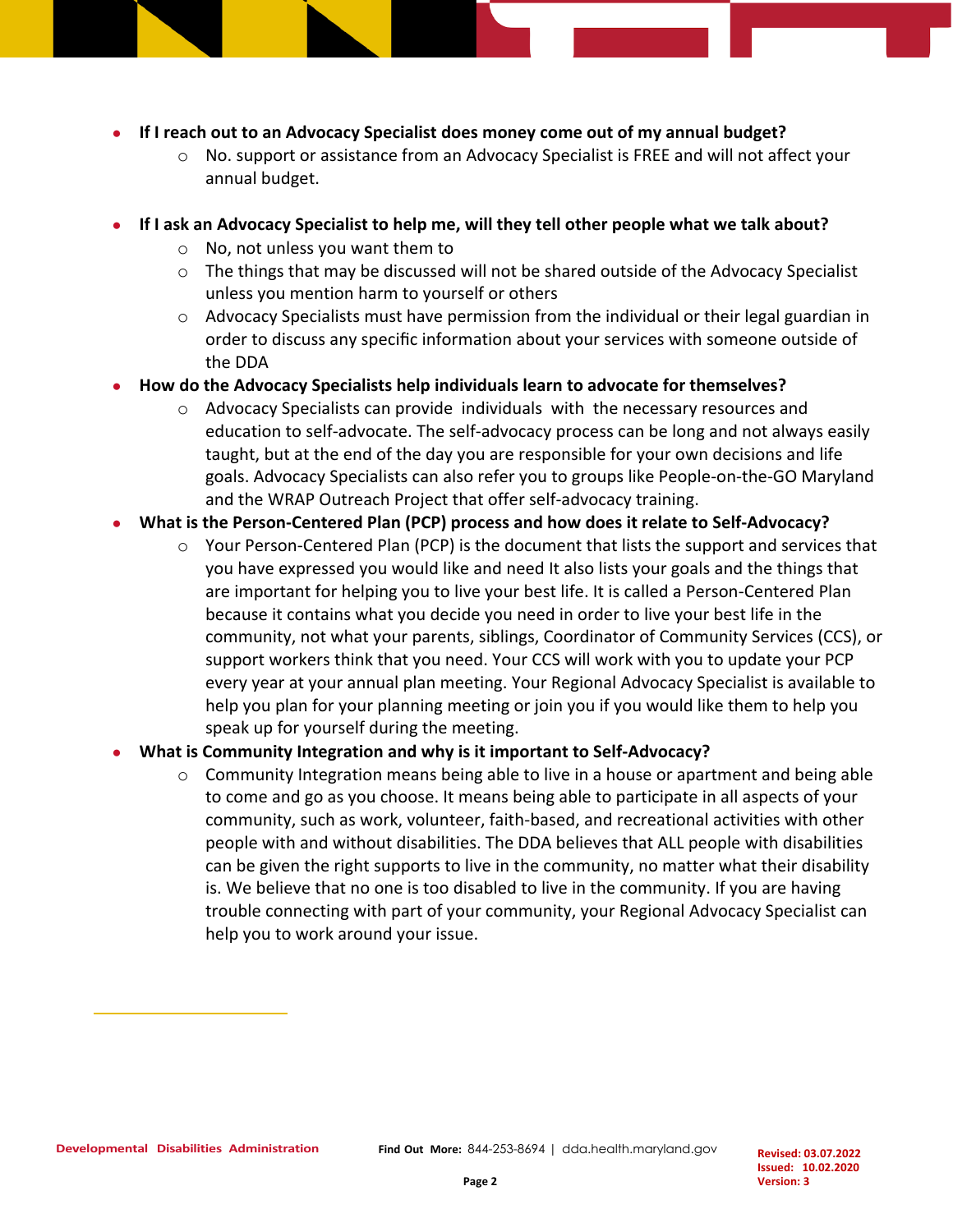- **If I reach out to an Advocacy Specialist does money come out of my annual budget?** 
	- $\circ$  No. support or assistance from an Advocacy Specialist is FREE and will not affect your annual budget.
- **If I ask an Advocacy Specialist to help me, will they tell other people what we talk about?**
	- o No, not unless you want them to
	- $\circ$  The things that may be discussed will not be shared outside of the Advocacy Specialist unless you mention harm to yourself or others
	- $\circ$  Advocacy Specialists must have permission from the individual or their legal guardian in order to discuss any specific information about your services with someone outside of the DDA
- **How do the Advocacy Specialists help individuals learn to advocate for themselves?**
	- $\circ$  Advocacy Specialists can provide individuals with the necessary resources and education to self-advocate. The self-advocacy process can be long and not always easily taught, but at the end of the day you are responsible for your own decisions and life goals. Advocacy Specialists can also refer you to groups like People-on-the-GO Maryland and the WRAP Outreach Project that offer self-advocacy training.
- **What is the Person-Centered Plan (PCP) process and how does it relate to Self-Advocacy?**
	- $\circ$  Your Person-Centered Plan (PCP) is the document that lists the support and services that you have expressed you would like and need It also lists your goals and the things that are important for helping you to live your best life. It is called a Person-Centered Plan because it contains what you decide you need in order to live your best life in the community, not what your parents, siblings, Coordinator of Community Services (CCS), or support workers think that you need. Your CCS will work with you to update your PCP every year at your annual plan meeting. Your Regional Advocacy Specialist is available to help you plan for your planning meeting or join you if you would like them to help you speak up for yourself during the meeting.
- **What is Community Integration and why is it important to Self-Advocacy?**
	- $\circ$  Community Integration means being able to live in a house or apartment and being able to come and go as you choose. It means being able to participate in all aspects of your community, such as work, volunteer, faith-based, and recreational activities with other people with and without disabilities. The DDA believes that ALL people with disabilities can be given the right supports to live in the community, no matter what their disability is. We believe that no one is too disabled to live in the community. If you are having trouble connecting with part of your community, your Regional Advocacy Specialist can help you to work around your issue.